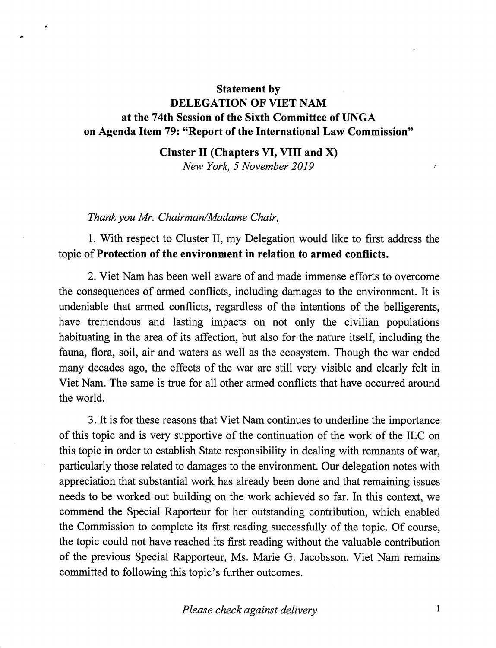# Statement by DELEGATION OF VIET NAM at the 74th Session of the Sixth Committee of UNGA on Agenda Item 79: "Report of the International Law Commission"

### Cluster II (Chapters VI, VIII and X) New York, 5 November 2019

#### Thank you Mr. Chairman/Madame Chair,

÷

1. With respect to Cluster II, my Delegation would like to first address the topic of Protection of the environment in relation to armed conflicts.

2. Viet Nam has been well aware of and made immense efforts to overcome the consequences of armed conflicts, including damages to the environment. It is undeniable that armed conflicts, regardless of the intentions of the belligerents, have tremendous and lasting impacts on not only the civilian populations habituating in the area of its affection, but also for the nature itself, including the fauna, flora, soil, air and waters as well as the ecosystem. Though the war ended many decades ago, the effects of the war are still very visible and clearly felt in Viet Nam. The same is true for all other armed conflicts that have occurred around the world.

3. It is for these reasons that Viet Nam continues to underline the importance of this topic and is very supportive of the continuation of the work of the ILC on this topic in order to establish State responsibility in dealing with remnants of war, particularly those related to damages to the environment. Our delegation notes with appreciation that substantial work has already been done and that remaining issues needs to be worked out building on the work achieved so far. In this context, we commend the Special Raporteur for her outstanding contribution, which enabled the Commission to complete its first reading successfully of the topic. Of course, the topic could not have reached its first reading without the valuable contribution of the previous Special Rapporteur, Ms. Marie G. Jacobsson. Viet Nam remains committed to following this topic's further outcomes.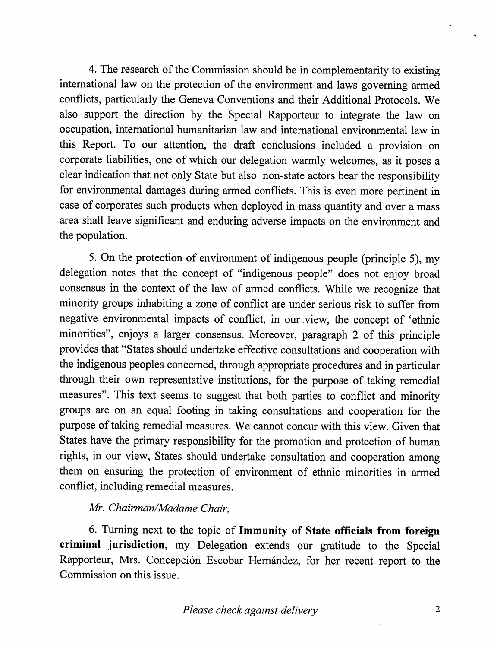4. The research of the Commission should be in complementarity to existing international law on the protection of the environment and laws governing armed conflicts, particularly the Geneva Conventions and their Additional Protocols. We also support the direction by the Special Rapporteur to integrate the law on occupation, international humanitarian law and international environmental law in this Report. To our attention, the draft conclusions included a provision on corporate liabilities, one of which our delegation warmly welcomes, as it poses a clear indication that not only State but also non-state actors bear the responsibility for environmental damages during armed conflicts. This is even more pertinent in case of corporates such products when deployed in mass quantity and over a mass area shall leave significant and enduring adverse impacts on the environment and the population.

5. On the protection of environment of indigenous people (principle 5), my delegation notes that the concept of "indigenous people" does not enjoy broad consensus in the context of the law of armed conflicts. While we recognize that minority groups inhabiting a zone of conflict are under serious risk to suffer fi^om negative environmental impacts of conflict, in our view, the concept of 'ethnic minorities", enjoys a larger consensus. Moreover, paragraph 2 of this principle provides that "States should undertake effective consultations and cooperation with the indigenous peoples concerned, through appropriate procedures and in particular through their own representative institutions, for the purpose of taking remedial measures". This text seems to suggest that both parties to conflict and minority groups are on an equal footing in taking consultations and cooperation for the purpose of taking remedial measures. We cannot concur with this view. Given that States have the primary responsibility for the promotion and protection of human rights, in our view. States should undertake consultation and cooperation among them on ensuring the protection of environment of ethnic minorities in armed conflict, including remedial measures.

# Mr. Chairman/Madame Chair,

6. Turning next to the topic of Immunity of State officials from foreign criminal jurisdiction, my Delegation extends our gratitude to the Special Rapporteur, Mrs. Concepción Escobar Hernández, for her recent report to the Commission on this issue.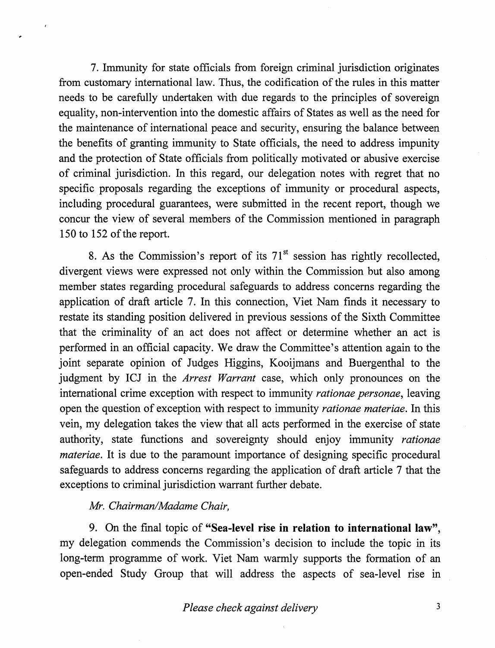7. Immunity for state officials from foreign criminal jurisdiction originates from customary international law. Thus, the codification of the rules in this matter needs to be carefully undertaken with due regards to the principles of sovereign equality, non-intervention into the domestic affairs of States as well as the need for the maintenance of international peace and security, ensuring the balance between the benefits of granting immunity to State officials, the need to address impunity and the protection of State officials from politically motivated or abusive exercise of criminal jurisdiction. In this regard, our delegation notes with regret that no specific proposals regarding the exceptions of immunity or procedural aspects, including procedural guarantees, were submitted in the recent report, though we concur the view of several members of the Commission mentioned in paragraph 150 to 152 of the report.

8. As the Commission's report of its  $71<sup>st</sup>$  session has rightly recollected, divergent views were expressed not only within the Commission but also among member states regarding procedural safeguards to address concerns regarding the application of draft article 7. In this connection, Viet Nam finds it necessary to restate its standing position delivered in previous sessions of the Sixth Committee that the criminality of an act does not affect or determine whether an act is performed in an official capacity. We draw the Committee's attention again to the joint separate opinion of Judges Higgins, Kooijmans and Buergenthal to the judgment by ICJ in the *Arrest Warrant* case, which only pronounces on the international crime exception with respect to immunity *rationae personae*, leaving open the question of exception with respect to immunity *rationae materiae*. In this vein, my delegation takes the view that all acts performed in the exercise of state authority, state functions and sovereignty should enjoy immunity rationae materiae. It is due to the paramount importance of designing specific procedural safeguards to address concerns regarding the application of draft article 7 that the exceptions to criminal jurisdiction warrant further debate.

## Mr. Chairman/Madame Chair,

9. On the final topic of "Sea-level rise in relation to international law", my delegation commends the Commission's decision to include the topic in its long-term programme of work. Viet Nam warmly supports the formation of an open-ended Study Group that will address the aspects of sea-level rise in